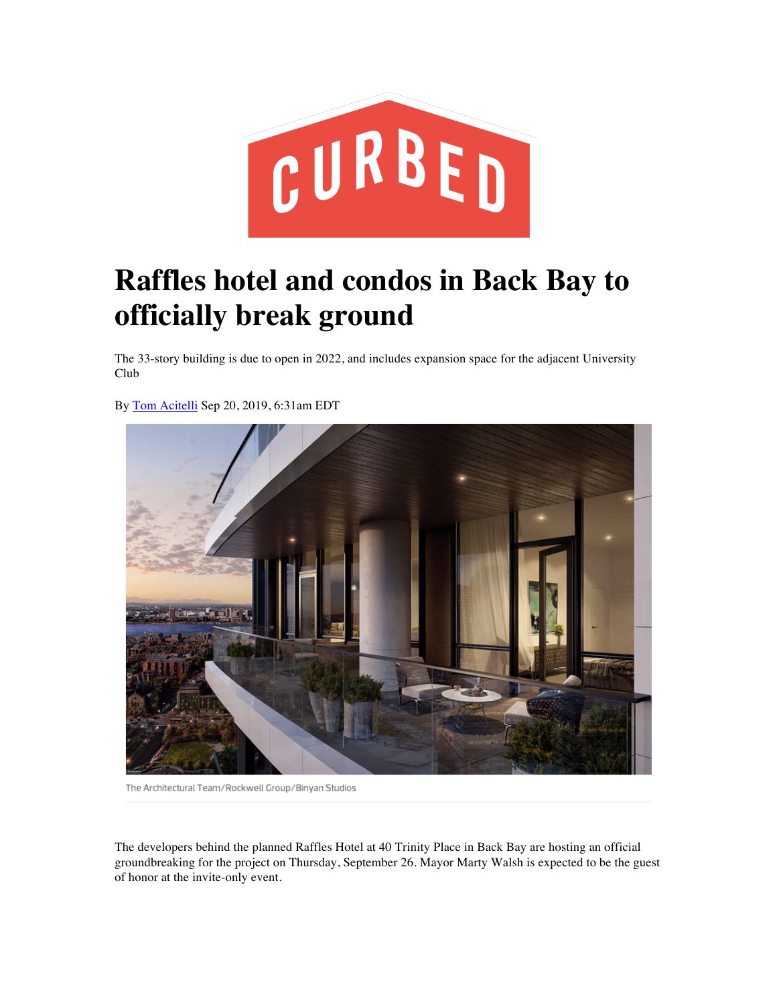

## **Raffles hotel and condos in Back Bay to officially break ground**

The 33-story building is due to open in 2022, and includes expansion space for the adjacent University Club

By Tom Acitelli Sep 20, 2019, 6:31am EDT



The Architectural Team/Rockwell Group/Binyan Studios

The developers behind the planned Raffles Hotel at 40 Trinity Place in Back Bay are hosting an official groundbreaking for the project on Thursday, September 26. Mayor Marty Walsh is expected to be the guest of honor at the invite-only event.